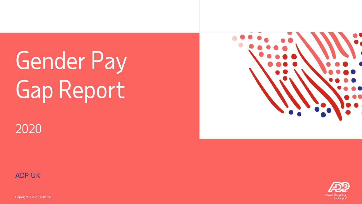# Gender Pay Gap Report



# 2020



Copyright © 2021 ADP Inc.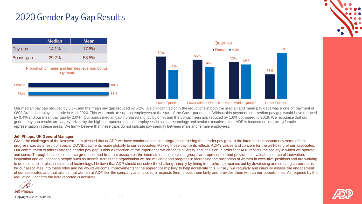### 2020 Gender Pay Gap Results



Our median pay gap reduced by 5.7% and the mean pay gap reduced by 6.2%. A significant factor in the reductions in both the median and mean pay gaps was a one off payment of £808.34 to all employees made in April 2020. This was made to support employees at the start of the Covid pandemic. Without this payment, our median pay gap would have reduced by 0.4% and our mean pay gap by 2.0%. Our bonus median gap increased slightly by 0.4% and the bonus mean gap reduced by 1.6% compared to 2019. We recognise that our gender pay gap results are largely driven by the higher proportion of male employees in sales, technology and senior executive roles. ADP is focused on improving female representation in these areas. We firmly believe that these gaps do not indicate pay inequity between male and female employees.

#### **Jeff Phipps, UK General Manager**

Given the challenges of the last year I am pleased that at ADP we have continued to make progress on closing the gender pay gap. In the interests of transparency some of that progress was as a result of special COVID payments made globally to our associates. Making those payments reflects ADP's values and concern for the well-being of our associates. Our commitment to addressing the gender pay gap is also a reflection of the importance we attach to diversity and inclusion in order that ADP reflects the society in which we operate and serve. Through business resource groups formed from our associates the interests of those diverse groups are represented and provide an invaluable source of innovation, inspiration and education to people such as myself. Across the organisation we are making good progress in increasing the proportion of women in executive positions and are working to do the same in roles in sales and technology. I believe that ADP should not solve the challenge simply by hiring from other companies but by developing and creating career paths for our associates into these roles and we would welcome improvements to the apprenticeship levy to help accelerate this. Finally, we regularly and carefully assess the engagement of our associates and that tells us that women at ADP feel the company and its culture respects them, treats them fairly and provides them with career opportunities. As required by the regulation, I confirm the data reported is accurate.

Jeff Phipps

Copyright © 2021 ADP Inc.

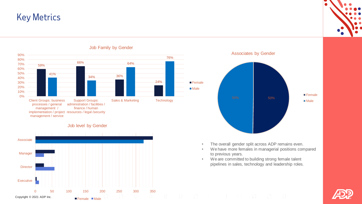# Key Metrics



Job Family by Gender

#### Job level by Gender





- The overall gender split across ADP remains even.
- We have more females in managerial positions compared to previous years.
- We are committed to building strong female talent pipelines in sales, technology and leadership roles.